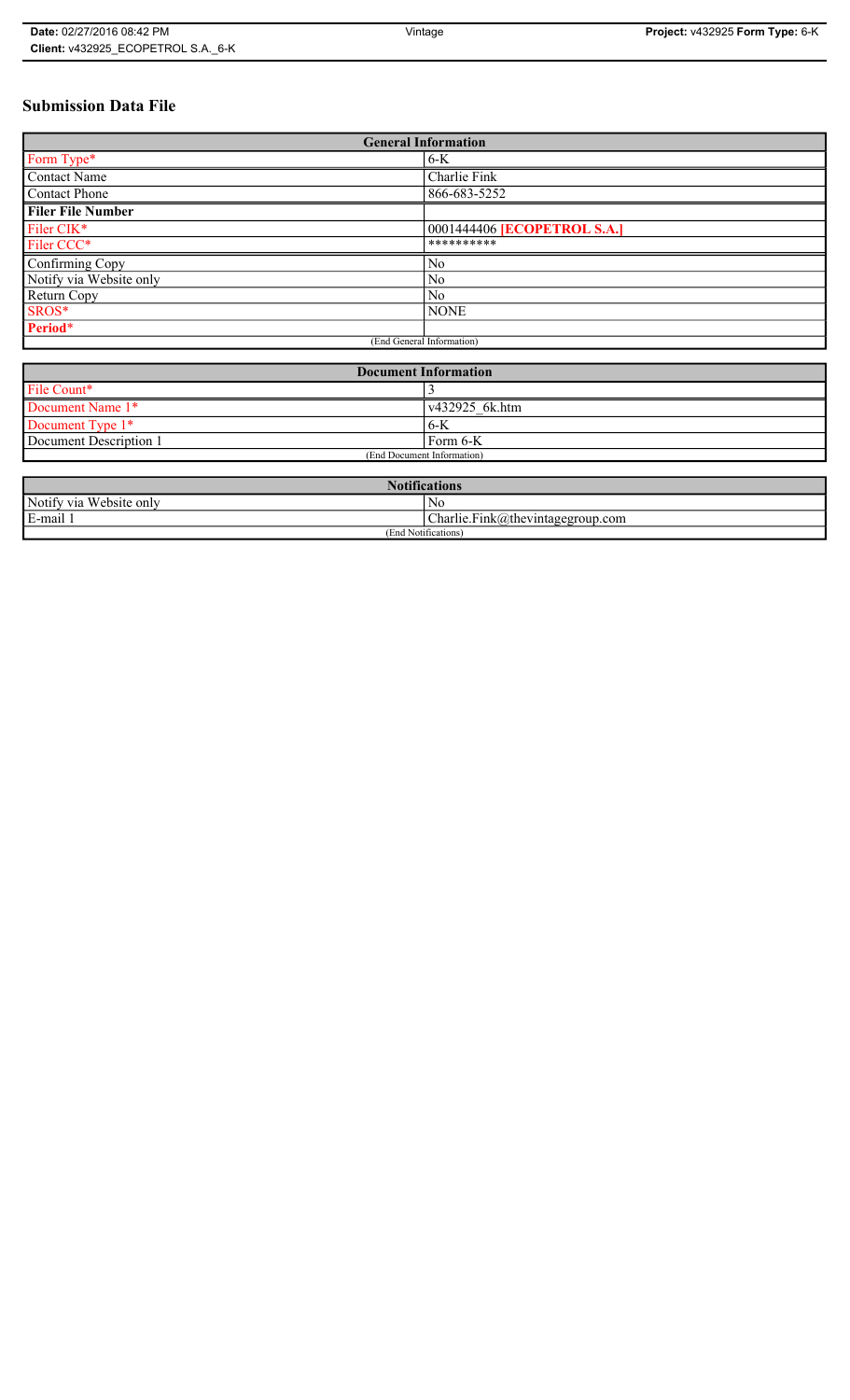# **Submission Data File**

| <b>General Information</b> |                                    |
|----------------------------|------------------------------------|
| Form Type*                 | $6-K$                              |
| Contact Name               | Charlie Fink                       |
| <b>Contact Phone</b>       | 866-683-5252                       |
| <b>Filer File Number</b>   |                                    |
| Filer CIK*                 | 0001444406 <b>[ECOPETROL S.A.]</b> |
| Filer CCC*                 | **********                         |
| Confirming Copy            | No                                 |
| Notify via Website only    | N <sub>0</sub>                     |
| Return Copy                | N <sub>0</sub>                     |
| SROS*                      | <b>NONE</b>                        |
| Period*                    |                                    |
| (End General Information)  |                                    |

| <b>Document Information</b> |                        |
|-----------------------------|------------------------|
| File Count*                 |                        |
| Document Name 1*            | $\sqrt{432925}$ 6k.htm |
| Document Type 1*            | $6-K$                  |
| Document Description 1      | Form 6-K               |
| (End Document Information)  |                        |

| <b>Notifications</b>    |                                  |
|-------------------------|----------------------------------|
| Notify via Website only | N0                               |
| E-mail                  | Charlie.Fink@thevintagegroup.com |
| (End Notifications)     |                                  |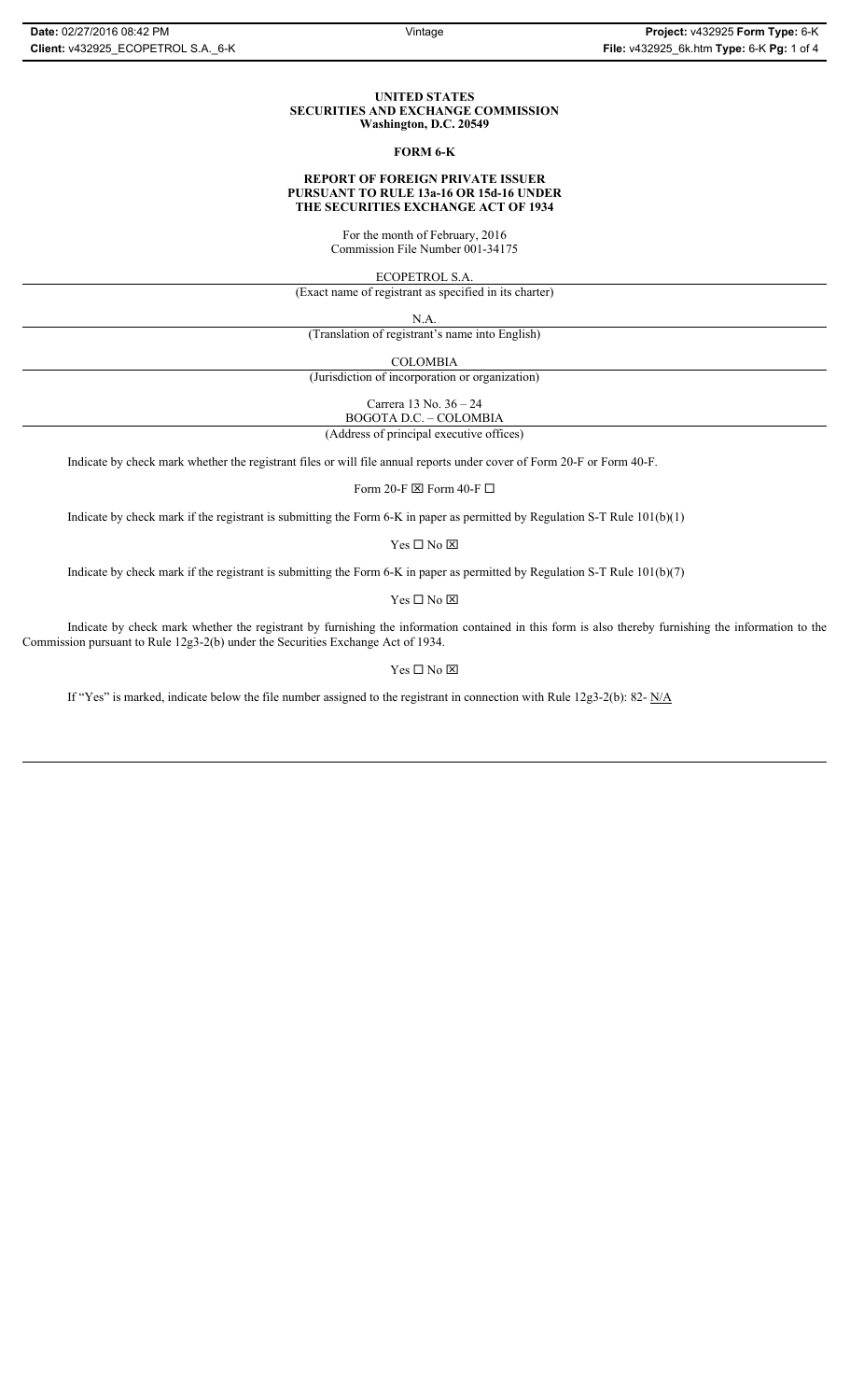### **UNITED STATES SECURITIES AND EXCHANGE COMMISSION Washington, D.C. 20549**

## **FORM 6-K**

## **REPORT OF FOREIGN PRIVATE ISSUER PURSUANT TO RULE 13a-16 OR 15d-16 UNDER THE SECURITIES EXCHANGE ACT OF 1934**

For the month of February, 2016 Commission File Number 001-34175

ECOPETROL S.A.

(Exact name of registrant as specified in its charter)

N.A.

(Translation of registrant's name into English)

COLOMBIA

(Jurisdiction of incorporation or organization)

Carrera 13 No. 36 – 24

BOGOTA D.C. – COLOMBIA (Address of principal executive offices)

Indicate by check mark whether the registrant files or will file annual reports under cover of Form 20-F or Form 40-F.

Form 20-F  $\boxtimes$  Form 40-F  $\Box$ 

Indicate by check mark if the registrant is submitting the Form 6-K in paper as permitted by Regulation S-T Rule 101(b)(1)

 $Yes \Box No \boxtimes$ 

Indicate by check mark if the registrant is submitting the Form 6-K in paper as permitted by Regulation S-T Rule 101(b)(7)

 $\mathbf{Y}\mathbf{es} \ \Box \ \mathbf{No} \ \overline{\mathbf{\mathbf{\Xi}}}$ 

Indicate by check mark whether the registrant by furnishing the information contained in this form is also thereby furnishing the information to the Commission pursuant to Rule 12g3-2(b) under the Securities Exchange Act of 1934.

## $Yes \Box No \boxtimes$

If "Yes" is marked, indicate below the file number assigned to the registrant in connection with Rule 12g3-2(b): 82- N/A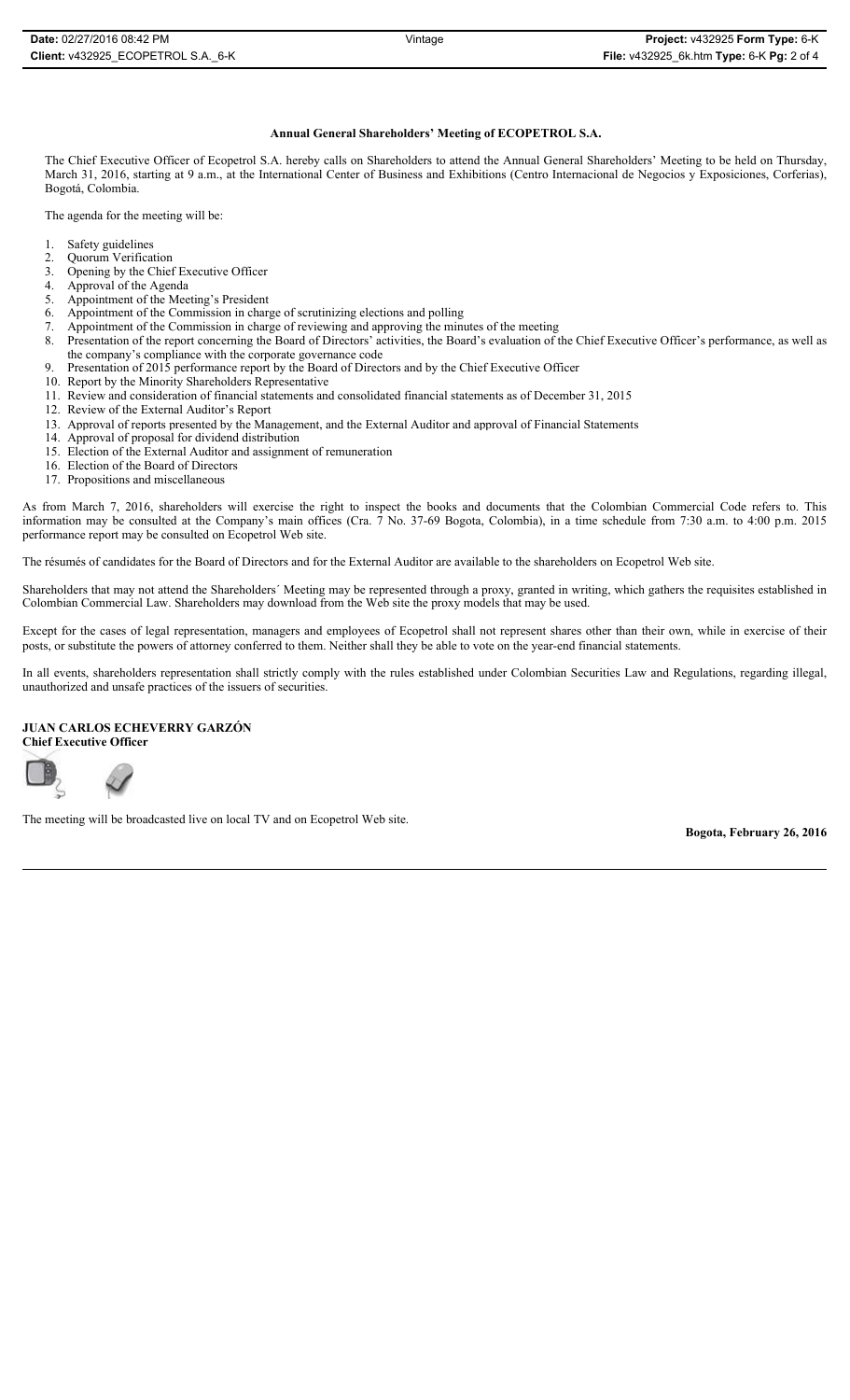## **Annual General Shareholders' Meeting of ECOPETROL S.A.**

The Chief Executive Officer of Ecopetrol S.A. hereby calls on Shareholders to attend the Annual General Shareholders' Meeting to be held on Thursday, March 31, 2016, starting at 9 a.m., at the International Center of Business and Exhibitions (Centro Internacional de Negocios y Exposiciones, Corferias), Bogotá, Colombia.

The agenda for the meeting will be:

- 1. Safety guidelines<br>2. Quorum Verifica
- 2. Quorum Verification<br>3. Opening by the Chief
- 3. Opening by the Chief Executive Officer<br>4. Approval of the Agenda
- Approval of the Agenda
- 5. Appointment of the Meeting's President 6. Appointment of the Commission in charge
- Appointment of the Commission in charge of scrutinizing elections and polling
- 7. Appointment of the Commission in charge of reviewing and approving the minutes of the meeting 8. Presentation of the report concerning the Board of Directors' activities, the Board's evaluation of the report concerning
- Presentation of the report concerning the Board of Directors' activities, the Board's evaluation of the Chief Executive Officer's performance, as well as the company's compliance with the corporate governance code
- 9. Presentation of 2015 performance report by the Board of Directors and by the Chief Executive Officer
- 10. Report by the Minority Shareholders Representative
- 11. Review and consideration of financial statements and consolidated financial statements as of December 31, 2015
- 12. Review of the External Auditor's Report
- 13. Approval of reports presented by the Management, and the External Auditor and approval of Financial Statements
- 14. Approval of proposal for dividend distribution
- 15. Election of the External Auditor and assignment of remuneration 16. Election of the Board of Directors
- 17. Propositions and miscellaneous

As from March 7, 2016, shareholders will exercise the right to inspect the books and documents that the Colombian Commercial Code refers to. This information may be consulted at the Company's main offices (Cra. 7 No. 37-69 Bogota, Colombia), in a time schedule from 7:30 a.m. to 4:00 p.m. 2015 performance report may be consulted on Ecopetrol Web site.

The résumés of candidates for the Board of Directors and for the External Auditor are available to the shareholders on Ecopetrol Web site.

Shareholders that may not attend the Shareholders´ Meeting may be represented through a proxy, granted in writing, which gathers the requisites established in Colombian Commercial Law. Shareholders may download from the Web site the proxy models that may be used.

Except for the cases of legal representation, managers and employees of Ecopetrol shall not represent shares other than their own, while in exercise of their posts, or substitute the powers of attorney conferred to them. Neither shall they be able to vote on the year-end financial statements.

In all events, shareholders representation shall strictly comply with the rules established under Colombian Securities Law and Regulations, regarding illegal, unauthorized and unsafe practices of the issuers of securities.

## **JUAN CARLOS ECHEVERRY GARZÓN**

**Chief Executive Officer**



The meeting will be broadcasted live on local TV and on Ecopetrol Web site.

**Bogota, February 26, 2016**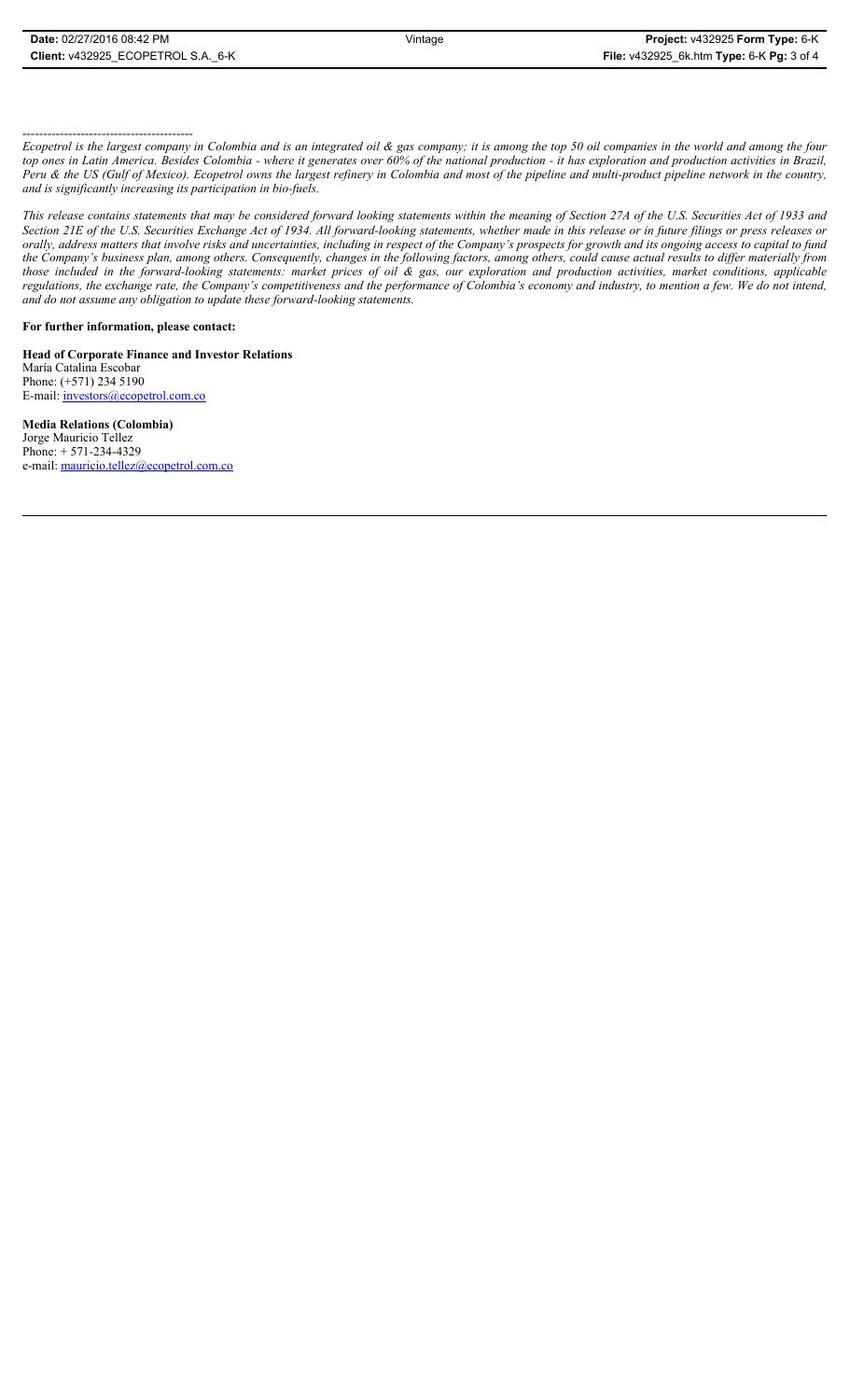## -----------------------------------------

*Ecopetrol is the largest company in Colombia and is an integrated oil & gas company; it is among the top 50 oil companies in the world and among the four top ones in Latin America. Besides Colombia - where it generates over 60% of the national production - it has exploration and production activities in Brazil, Peru & the US (Gulf of Mexico). Ecopetrol owns the largest refinery in Colombia and most of the pipeline and multi-product pipeline network in the country, and is significantly increasing its participation in bio-fuels.*

*This release contains statements that may be considered forward looking statements within the meaning of Section 27A of the U.S. Securities Act of 1933 and Section 21E of the U.S. Securities Exchange Act of 1934. All forward-looking statements, whether made in this release or in future filings or press releases or orally, address matters that involve risks and uncertainties, including in respect of the Company's prospects for growth and its ongoing access to capital to fund the Company's business plan, among others. Consequently, changes in the following factors, among others, could cause actual results to differ materially from those included in the forward-looking statements: market prices of oil & gas, our exploration and production activities, market conditions, applicable regulations, the exchange rate, the Company's competitiveness and the performance of Colombia's economy and industry, to mention a few. We do not intend, and do not assume any obligation to update these forward-looking statements.*

## **For further information, please contact:**

**Head of Corporate Finance and Investor Relations** María Catalina Escobar Phone: (+571) 234 5190 E-mail: *investors@ecopetrol.com.co* 

**Media Relations (Colombia)**  Jorge Mauricio Tellez Phone: + 571-234-4329 e-mail: mauricio.tellez@ecopetrol.com.co